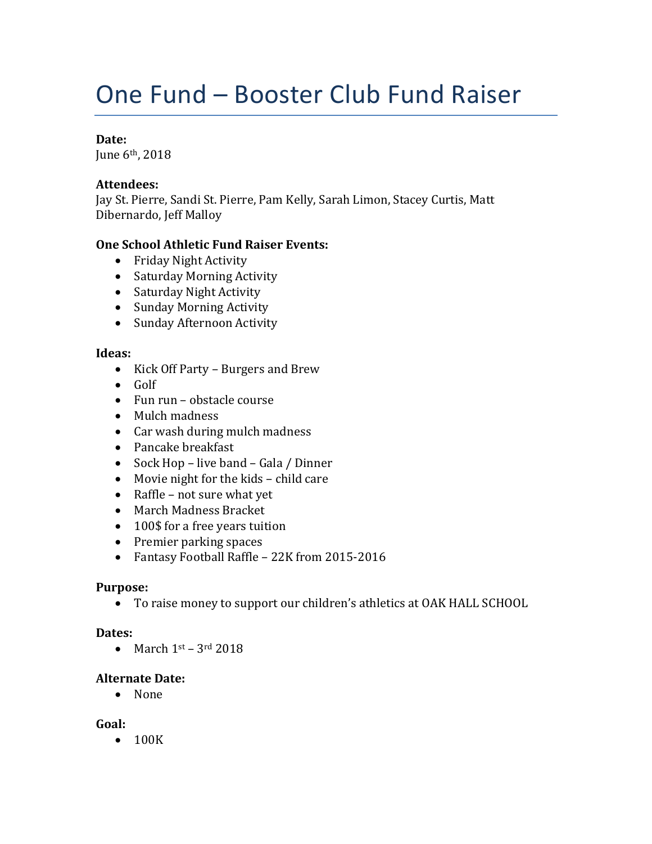# One Fund – Booster Club Fund Raiser

## **Date:**

June 6th, 2018

### **Attendees:**

Jay St. Pierre, Sandi St. Pierre, Pam Kelly, Sarah Limon, Stacey Curtis, Matt Dibernardo, Jeff Malloy

## **One School Athletic Fund Raiser Events:**

- Friday Night Activity
- Saturday Morning Activity
- Saturday Night Activity
- Sunday Morning Activity
- Sunday Afternoon Activity

#### **Ideas:**

- Kick Off Party Burgers and Brew
- $\bullet$  Golf
- Fun run obstacle course
- Mulch madness
- Car wash during mulch madness
- Pancake breakfast
- Sock Hop live band Gala / Dinner
- Movie night for the kids child care
- Raffle not sure what yet
- March Madness Bracket
- 100\$ for a free years tuition
- Premier parking spaces
- Fantasy Football Raffle 22K from 2015-2016

#### **Purpose:**

To raise money to support our children's athletics at OAK HALL SCHOOL

#### **Dates:**

 $\bullet$  March 1st – 3rd 2018

#### **Alternate Date:**

• None

#### **Goal:**

• 100K